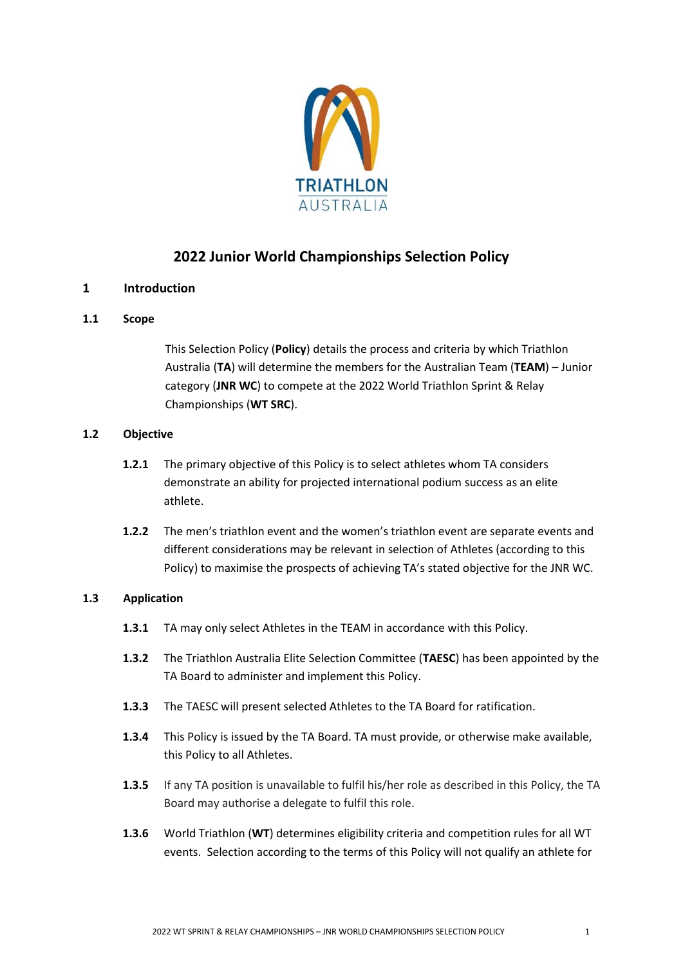

# **2022 Junior World Championships Selection Policy**

# **1 Introduction**

# **1.1 Scope**

This Selection Policy (**Policy**) details the process and criteria by which Triathlon Australia (**TA**) will determine the members for the Australian Team (**TEAM**) – Junior category (**JNR WC**) to compete at the 2022 World Triathlon Sprint & Relay Championships (**WT SRC**).

## **1.2 Objective**

- **1.2.1** The primary objective of this Policy is to select athletes whom TA considers demonstrate an ability for projected international podium success as an elite athlete.
- **1.2.2** The men's triathlon event and the women's triathlon event are separate events and different considerations may be relevant in selection of Athletes (according to this Policy) to maximise the prospects of achieving TA's stated objective for the JNR WC.

# **1.3 Application**

- **1.3.1** TA may only select Athletes in the TEAM in accordance with this Policy.
- **1.3.2** The Triathlon Australia Elite Selection Committee (**TAESC**) has been appointed by the TA Board to administer and implement this Policy.
- **1.3.3** The TAESC will present selected Athletes to the TA Board for ratification.
- **1.3.4** This Policy is issued by the TA Board. TA must provide, or otherwise make available, this Policy to all Athletes.
- **1.3.5** If any TA position is unavailable to fulfil his/her role as described in this Policy, the TA Board may authorise a delegate to fulfil this role.
- **1.3.6** World Triathlon (**WT**) determines eligibility criteria and competition rules for all WT events. Selection according to the terms of this Policy will not qualify an athlete for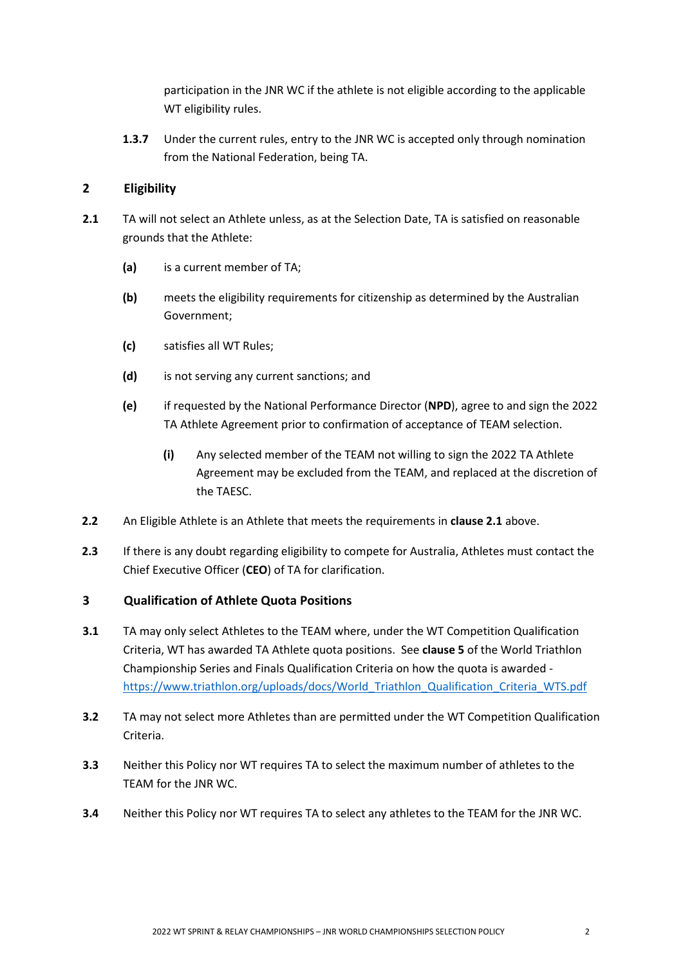participation in the JNR WC if the athlete is not eligible according to the applicable WT eligibility rules.

**1.3.7** Under the current rules, entry to the JNR WC is accepted only through nomination from the National Federation, being TA.

# **2 Eligibility**

- **2.1** TA will not select an Athlete unless, as at the Selection Date, TA is satisfied on reasonable grounds that the Athlete:
	- **(a)** is a current member of TA;
	- **(b)** meets the eligibility requirements for citizenship as determined by the Australian Government;
	- **(c)** satisfies all WT Rules;
	- **(d)** is not serving any current sanctions; and
	- **(e)** if requested by the National Performance Director (**NPD**), agree to and sign the 2022 TA Athlete Agreement prior to confirmation of acceptance of TEAM selection.
		- **(i)** Any selected member of the TEAM not willing to sign the 2022 TA Athlete Agreement may be excluded from the TEAM, and replaced at the discretion of the TAESC.
- **2.2** An Eligible Athlete is an Athlete that meets the requirements in **clause 2.1** above.
- **2.3** If there is any doubt regarding eligibility to compete for Australia, Athletes must contact the Chief Executive Officer (**CEO**) of TA for clarification.

# **3 Qualification of Athlete Quota Positions**

- **3.1** TA may only select Athletes to the TEAM where, under the WT Competition Qualification Criteria, WT has awarded TA Athlete quota positions. See **clause 5** of the World Triathlon Championship Series and Finals Qualification Criteria on how the quota is awarded [https://www.triathlon.org/uploads/docs/World\\_Triathlon\\_Qualification\\_Criteria\\_WTS.pdf](https://www.triathlon.org/uploads/docs/World_Triathlon_Qualification_Criteria_WTS.pdf)
- **3.2** TA may not select more Athletes than are permitted under the WT Competition Qualification Criteria.
- **3.3** Neither this Policy nor WT requires TA to select the maximum number of athletes to the TEAM for the JNR WC.
- **3.4** Neither this Policy nor WT requires TA to select any athletes to the TEAM for the JNR WC.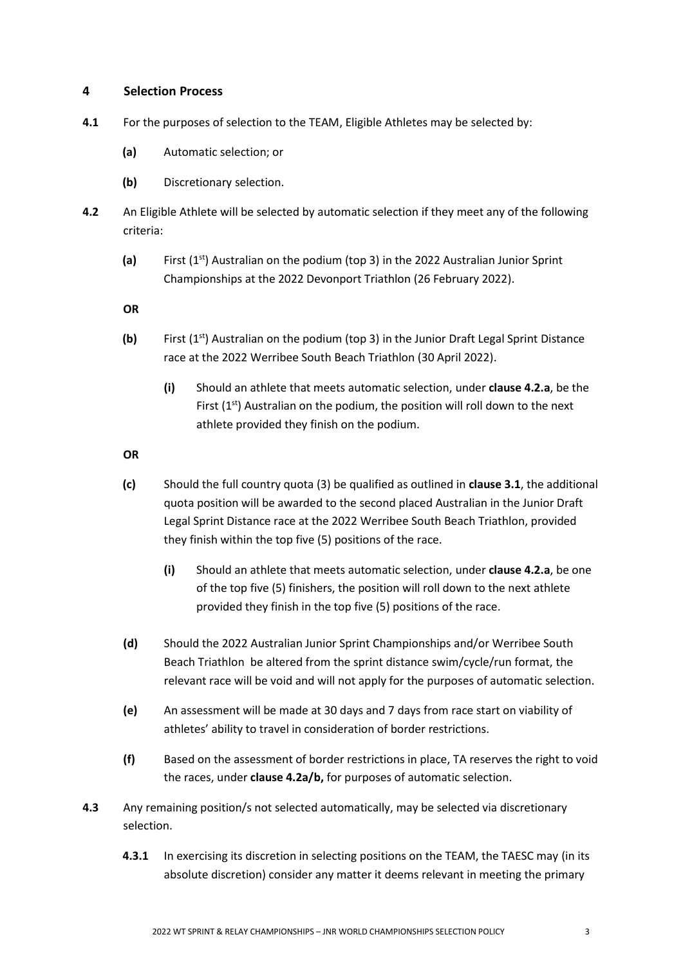#### **4 Selection Process**

- **4.1** For the purposes of selection to the TEAM, Eligible Athletes may be selected by:
	- **(a)** Automatic selection; or
	- **(b)** Discretionary selection.
- **4.2** An Eligible Athlete will be selected by automatic selection if they meet any of the following criteria:
	- **(a)** First (1st) Australian on the podium (top 3) in the 2022 Australian Junior Sprint Championships at the 2022 Devonport Triathlon (26 February 2022).

**OR**

- **(b)** First (1<sup>st</sup>) Australian on the podium (top 3) in the Junior Draft Legal Sprint Distance race at the 2022 Werribee South Beach Triathlon (30 April 2022).
	- **(i)** Should an athlete that meets automatic selection, under **clause 4.2.a**, be the First  $(1<sup>st</sup>)$  Australian on the podium, the position will roll down to the next athlete provided they finish on the podium.

**OR**

- **(c)** Should the full country quota (3) be qualified as outlined in **clause 3.1**, the additional quota position will be awarded to the second placed Australian in the Junior Draft Legal Sprint Distance race at the 2022 Werribee South Beach Triathlon, provided they finish within the top five (5) positions of the race.
	- **(i)** Should an athlete that meets automatic selection, under **clause 4.2.a**, be one of the top five (5) finishers, the position will roll down to the next athlete provided they finish in the top five (5) positions of the race.
- **(d)** Should the 2022 Australian Junior Sprint Championships and/or Werribee South Beach Triathlon be altered from the sprint distance swim/cycle/run format, the relevant race will be void and will not apply for the purposes of automatic selection.
- **(e)** An assessment will be made at 30 days and 7 days from race start on viability of athletes' ability to travel in consideration of border restrictions.
- **(f)** Based on the assessment of border restrictions in place, TA reserves the right to void the races, under **clause 4.2a/b,** for purposes of automatic selection.
- **4.3** Any remaining position/s not selected automatically, may be selected via discretionary selection.
	- **4.3.1** In exercising its discretion in selecting positions on the TEAM, the TAESC may (in its absolute discretion) consider any matter it deems relevant in meeting the primary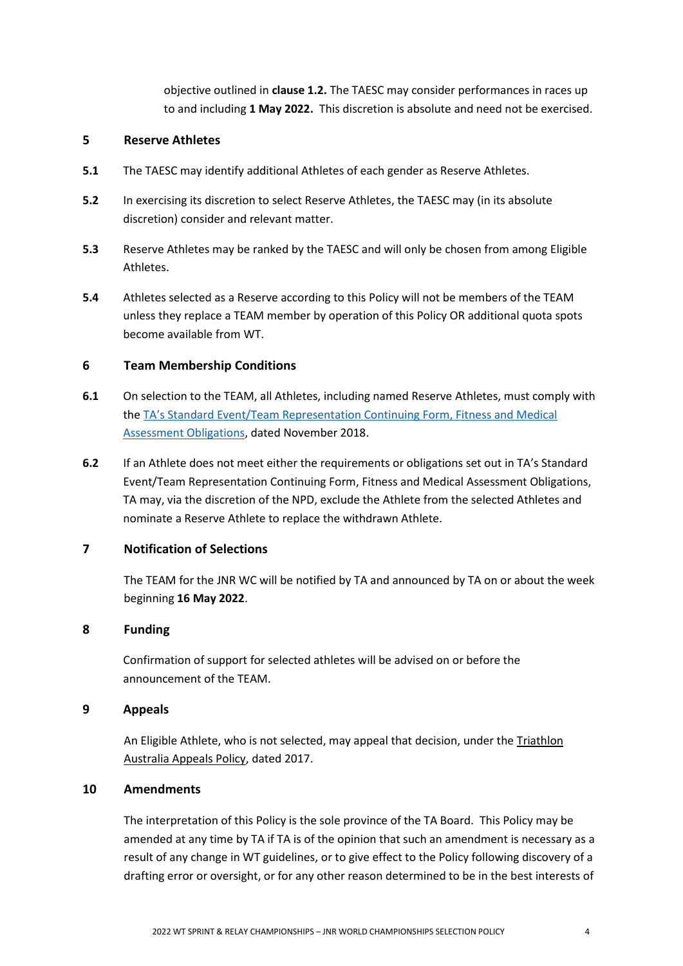objective outlined in **clause 1.2.** The TAESC may consider performances in races up to and including **1 May 2022.** This discretion is absolute and need not be exercised.

#### **5 Reserve Athletes**

- **5.1** The TAESC may identify additional Athletes of each gender as Reserve Athletes.
- **5.2** In exercising its discretion to select Reserve Athletes, the TAESC may (in its absolute discretion) consider and relevant matter.
- **5.3** Reserve Athletes may be ranked by the TAESC and will only be chosen from among Eligible Athletes.
- **5.4** Athletes selected as a Reserve according to this Policy will not be members of the TEAM unless they replace a TEAM member by operation of this Policy OR additional quota spots become available from WT.

#### **6 Team Membership Conditions**

- **6.1** On selection to the TEAM, all Athletes, including named Reserve Athletes, must comply with the TA's Standard [Event/Team Representation Continuing Form, Fitness and Medical](http://www.triathlon.org.au/Assets/Triathlon+Australia+Digital+Assets/Athlete+Fitness+and+Medical+Obligations.pdf)  [Assessment Obligations,](http://www.triathlon.org.au/Assets/Triathlon+Australia+Digital+Assets/Athlete+Fitness+and+Medical+Obligations.pdf) dated November 2018.
- **6.2** If an Athlete does not meet either the requirements or obligations set out in TA's Standard Event/Team Representation Continuing Form, Fitness and Medical Assessment Obligations, TA may, via the discretion of the NPD, exclude the Athlete from the selected Athletes and nominate a Reserve Athlete to replace the withdrawn Athlete.

# **7 Notification of Selections**

The TEAM for the JNR WC will be notified by TA and announced by TA on or about the week beginning **16 May 2022**.

### **8 Funding**

Confirmation of support for selected athletes will be advised on or before the announcement of the TEAM.

#### **9 Appeals**

An Eligible Athlete, who is not selected, may appeal that decision, under the Triathlon [Australia Appeals Policy,](http://www.triathlon.org.au/Assets/Triathlon+Australia+Digital+Assets/2017+Triathlon+Australia+Appeals+Policy.pdf) dated 2017.

#### **10 Amendments**

The interpretation of this Policy is the sole province of the TA Board. This Policy may be amended at any time by TA if TA is of the opinion that such an amendment is necessary as a result of any change in WT guidelines, or to give effect to the Policy following discovery of a drafting error or oversight, or for any other reason determined to be in the best interests of